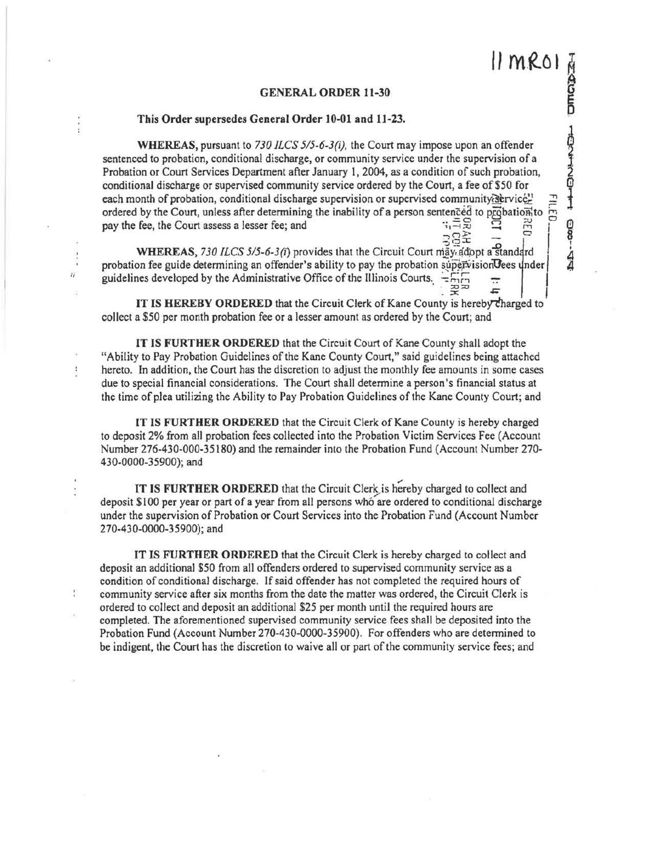귲

**DA--40** 

## GENERAL ORDER 11-30

## This Order supersedes General Order 10-01 and 11-23.

 $\ddot{r}$ 

Ì

N

WHEREAS, pursuant to *730 ILCS 5/5-6-3(i),* the Court may impose upon an offender sentenced to probation, conditional discharge, or community service under the supervision of a Probation or Court Services Department after January 1, 2004, as a condition of such probation, conditional discharge or supervised community service ordered by the Court, a fee of \$50 for each month of probation, conditional discharge supervision or supervised ordered by the Court, unless after determining the inability of a person sentenced to pay the fee, the Court assess a lesser fee; and  $\frac{1}{3}$   $\frac{1}{3}$   $\frac{1}{3}$   $\frac{1}{3}$   $\frac{1}{3}$   $\frac{1}{3}$ 

**WHEREAS, 730 ILCS 5/5-6-3(i) provides that the Circuit Court may adopt a standard** probation fee guide determining an offender's ability to pay the probation supervision  $\theta$ ees under guidelines developed by the Administrative Office of the Illinois Courts.  $-\frac{1}{2}$ 

IT IS HEREBY ORDERED that the Circuit Clerk of Kane County is hereby charged to collect a \$50 per month probation fee or a lesser amount as ordered by the Court; and

IT IS FURTHER ORDERED that the Circuit Court of Kane County shall adopt the "Ability to Pay Probation Guidelines of the Kane County Court," said guidelines being attached hereto. In addition, the Court has the discretion to adjust the monthly fee amounts in some cases due to special financial considerations. The Court shall determine a person's financial status at the time of plea utilizing the Ability to Pay Probation Guidelines of the Kane County Court; and

IT IS FURTHER ORDERED that the Circuit Clerk of Kane County is hereby charged to deposit 2% from all probation fees collected into the Probation Victim Services Fee (Account Number 276-430-000-35180) and the remainder into the Probation Fund (Account Number 270- 430-0000-35900); and

IT IS FURTHER ORDERED that the Circuit Clerk is hereby charged to collect and deposit \$100 per year or part of a year from all persons who are ordered to conditional discharge under the supervision of Probation or Court Services into the Probation Fund (Account Number 270-430-0000-35900); and

IT IS FURTHER ORDERED that the Circuit Clerk is hereby charged to collect and deposit an additional \$50 from all offenders ordered to supervised community service as a condition of conditional discharge. If said offender has not completed the required hours of community service after six months from the date the matter was ordered, the Circuit Clerk is ordered to collect and deposit an additional \$25 per month until the required hours are completed. The aforementioned supervised community service fees shall be deposited into the Probation Fund (Account Number 270-430-0000-35900). For offenders who are detennined to be indigent, the Court has the discretion to waive all or part of the community service fees; and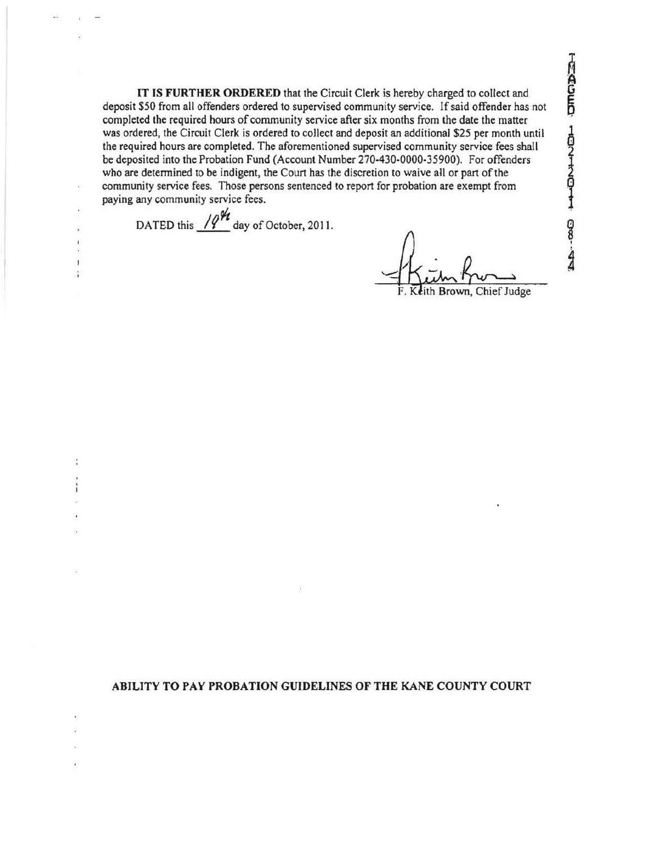IT IS **FURTHER ORDERED** that the Circuit Clerk is hereby charged to collect and deposit \$50 from all offenders ordered to supervised community service. If said offender has not completed the required hours of community service after six months from the date the matter was ordered, the Circuit Clerk is ordered to collect and deposit an additional \$25 per month until the required hours are completed. The aforementioned supervised community service fees shall be deposited into the Probation Fund (Account Number 270-430-0000-35900). For offenders who are determined to be indigent, the Court has the discretion to waive all or part of the community service fees. Those persons sentenced to report for probation are exempt from paying any community service fees.

DATED this  $\frac{1}{2}$  day of October, 2011.

ģ

ith Brown, Chief Judge

**ABILITY TO PAY PROBATION GUIDELINES OF THE KANE COUNTY COURT**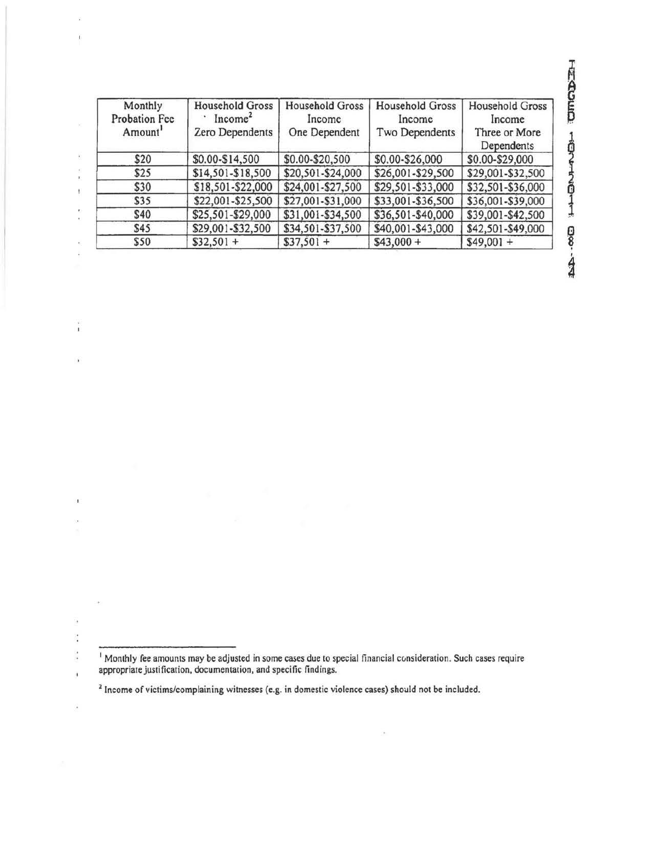| Monthly<br>Probation Fee<br>Amount <sup>1</sup> | <b>Household Gross</b><br>Income <sup>2</sup><br>Zero Dependents | <b>Household Gross</b><br>Income<br>One Dependent | <b>Household Gross</b><br>Income<br>Two Dependents | Household Gross<br>Income<br>Three or More<br>Dependents |
|-------------------------------------------------|------------------------------------------------------------------|---------------------------------------------------|----------------------------------------------------|----------------------------------------------------------|
| \$20                                            | \$0.00-\$14,500                                                  | \$0.00-\$20,500                                   | \$0.00-\$26,000                                    | \$0.00-\$29,000                                          |
| \$25                                            | \$14,501-\$18,500                                                | \$20,501-\$24,000                                 | \$26,001-\$29,500                                  | \$29,001-\$32,500                                        |
| \$30                                            | \$18,501-\$22,000                                                | \$24,001-\$27,500                                 | \$29,501-\$33,000                                  | \$32,501-\$36,000                                        |
| \$35                                            | \$22,001-\$25,500                                                | \$27,001-\$31,000                                 | \$33,001-\$36,500                                  | \$36,001-\$39,000                                        |
| \$40                                            | \$25,501-\$29,000                                                | \$31,001-\$34,500                                 | \$36,501-\$40,000                                  | \$39,001-\$42,500                                        |
| \$45                                            | \$29,001-\$32,500                                                | \$34,501-\$37,500                                 | \$40,001-\$43,000                                  | \$42,501-\$49,000                                        |
| \$50                                            | $$32,501 +$                                                      | $$37,501 +$                                       | $$43,000 +$                                        | $$49,001 +$                                              |

ù.

 $\left\langle \psi \right\rangle$ 

 $\frac{1}{1}$ 

 $\lambda$ 

 $\bar{\mathbf{t}}$ 

ÿ,  $\ddot{\phantom{a}}$  $\frac{1}{2}$  $\begin{array}{c} \begin{array}{c} \hline \end{array} \end{array}$ 

ÿ,

ie)

HACOLICO HENDAHION-GOOD

ÿ.

<sup>&</sup>lt;sup>1</sup> Monthly fee amounts may be adjusted in some cases due to special financial consideration. Such cases require appropriate justification, documentation, and specific findings.

<sup>&</sup>lt;sup>2</sup> Income of victims/complaining witnesses (e.g. in domestic violence cases) should not be included.